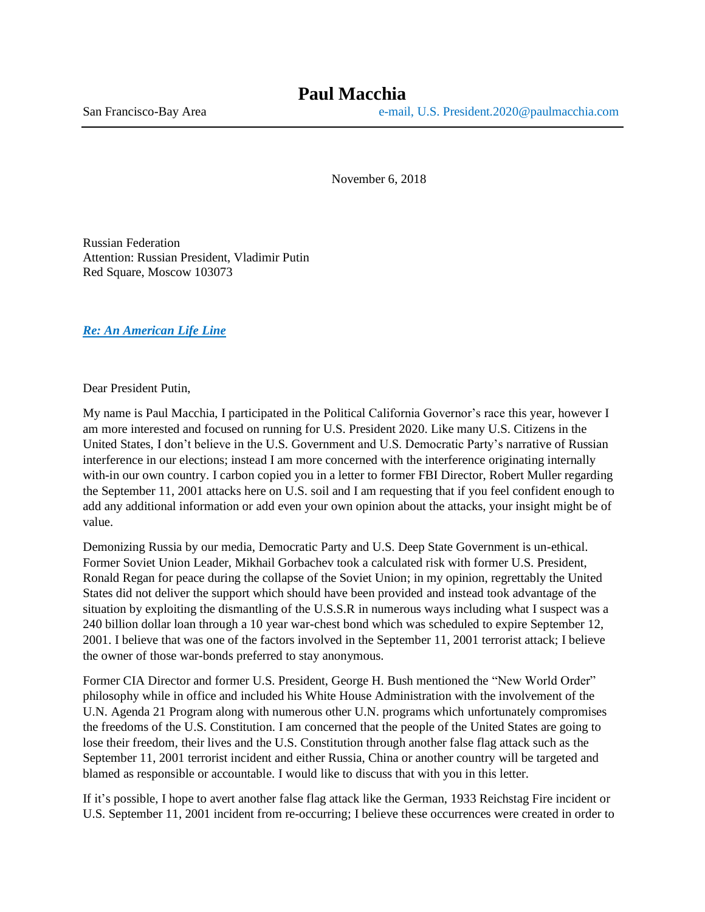November 6, 2018

Russian Federation Attention: Russian President, Vladimir Putin Red Square, Moscow 103073

### *Re: An American Life Line*

Dear President Putin,

My name is Paul Macchia, I participated in the Political California Governor's race this year, however I am more interested and focused on running for U.S. President 2020. Like many U.S. Citizens in the United States, I don't believe in the U.S. Government and U.S. Democratic Party's narrative of Russian interference in our elections; instead I am more concerned with the interference originating internally with-in our own country. I carbon copied you in a letter to former FBI Director, Robert Muller regarding the September 11, 2001 attacks here on U.S. soil and I am requesting that if you feel confident enough to add any additional information or add even your own opinion about the attacks, your insight might be of value.

Demonizing Russia by our media, Democratic Party and U.S. Deep State Government is un-ethical. Former Soviet Union Leader, Mikhail Gorbachev took a calculated risk with former U.S. President, Ronald Regan for peace during the collapse of the Soviet Union; in my opinion, regrettably the United States did not deliver the support which should have been provided and instead took advantage of the situation by exploiting the dismantling of the U.S.S.R in numerous ways including what I suspect was a 240 billion dollar loan through a 10 year war-chest bond which was scheduled to expire September 12, 2001. I believe that was one of the factors involved in the September 11, 2001 terrorist attack; I believe the owner of those war-bonds preferred to stay anonymous.

Former CIA Director and former U.S. President, George H. Bush mentioned the "New World Order" philosophy while in office and included his White House Administration with the involvement of the U.N. Agenda 21 Program along with numerous other U.N. programs which unfortunately compromises the freedoms of the U.S. Constitution. I am concerned that the people of the United States are going to lose their freedom, their lives and the U.S. Constitution through another false flag attack such as the September 11, 2001 terrorist incident and either Russia, China or another country will be targeted and blamed as responsible or accountable. I would like to discuss that with you in this letter.

If it's possible, I hope to avert another false flag attack like the German, 1933 Reichstag Fire incident or U.S. September 11, 2001 incident from re-occurring; I believe these occurrences were created in order to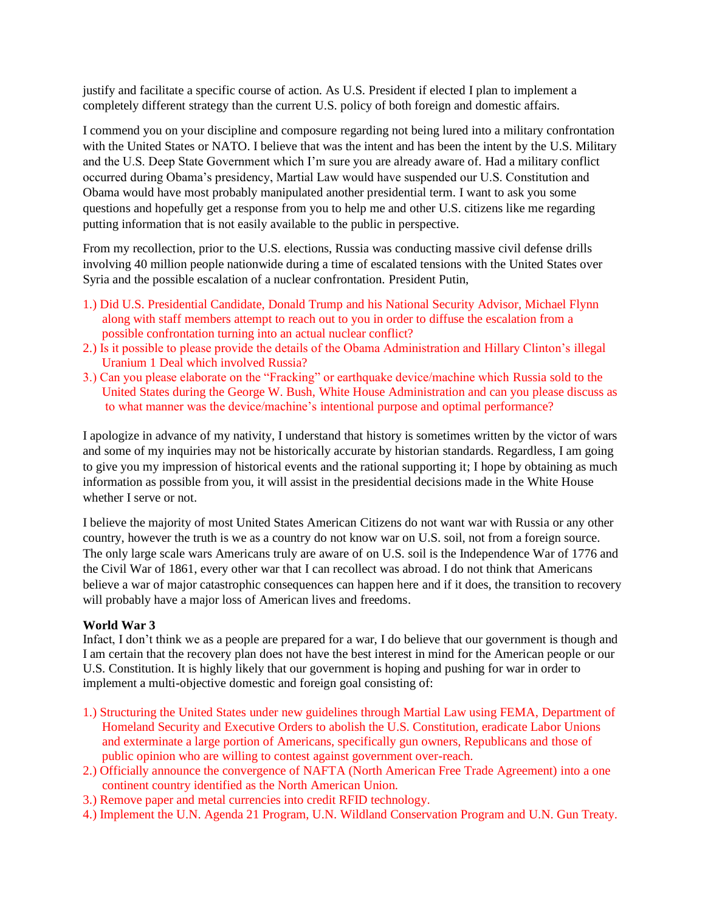justify and facilitate a specific course of action. As U.S. President if elected I plan to implement a completely different strategy than the current U.S. policy of both foreign and domestic affairs.

I commend you on your discipline and composure regarding not being lured into a military confrontation with the United States or NATO. I believe that was the intent and has been the intent by the U.S. Military and the U.S. Deep State Government which I'm sure you are already aware of. Had a military conflict occurred during Obama's presidency, Martial Law would have suspended our U.S. Constitution and Obama would have most probably manipulated another presidential term. I want to ask you some questions and hopefully get a response from you to help me and other U.S. citizens like me regarding putting information that is not easily available to the public in perspective.

From my recollection, prior to the U.S. elections, Russia was conducting massive civil defense drills involving 40 million people nationwide during a time of escalated tensions with the United States over Syria and the possible escalation of a nuclear confrontation. President Putin,

- 1.) Did U.S. Presidential Candidate, Donald Trump and his National Security Advisor, Michael Flynn along with staff members attempt to reach out to you in order to diffuse the escalation from a possible confrontation turning into an actual nuclear conflict?
- 2.) Is it possible to please provide the details of the Obama Administration and Hillary Clinton's illegal Uranium 1 Deal which involved Russia?
- 3.) Can you please elaborate on the "Fracking" or earthquake device/machine which Russia sold to the United States during the George W. Bush, White House Administration and can you please discuss as to what manner was the device/machine's intentional purpose and optimal performance?

I apologize in advance of my nativity, I understand that history is sometimes written by the victor of wars and some of my inquiries may not be historically accurate by historian standards. Regardless, I am going to give you my impression of historical events and the rational supporting it; I hope by obtaining as much information as possible from you, it will assist in the presidential decisions made in the White House whether I serve or not.

I believe the majority of most United States American Citizens do not want war with Russia or any other country, however the truth is we as a country do not know war on U.S. soil, not from a foreign source. The only large scale wars Americans truly are aware of on U.S. soil is the Independence War of 1776 and the Civil War of 1861, every other war that I can recollect was abroad. I do not think that Americans believe a war of major catastrophic consequences can happen here and if it does, the transition to recovery will probably have a major loss of American lives and freedoms.

### **World War 3**

Infact, I don't think we as a people are prepared for a war, I do believe that our government is though and I am certain that the recovery plan does not have the best interest in mind for the American people or our U.S. Constitution. It is highly likely that our government is hoping and pushing for war in order to implement a multi-objective domestic and foreign goal consisting of:

- 1.) Structuring the United States under new guidelines through Martial Law using FEMA, Department of Homeland Security and Executive Orders to abolish the U.S. Constitution, eradicate Labor Unions and exterminate a large portion of Americans, specifically gun owners, Republicans and those of public opinion who are willing to contest against government over-reach.
- 2.) Officially announce the convergence of NAFTA (North American Free Trade Agreement) into a one continent country identified as the North American Union.
- 3.) Remove paper and metal currencies into credit RFID technology.
- 4.) Implement the U.N. Agenda 21 Program, U.N. Wildland Conservation Program and U.N. Gun Treaty.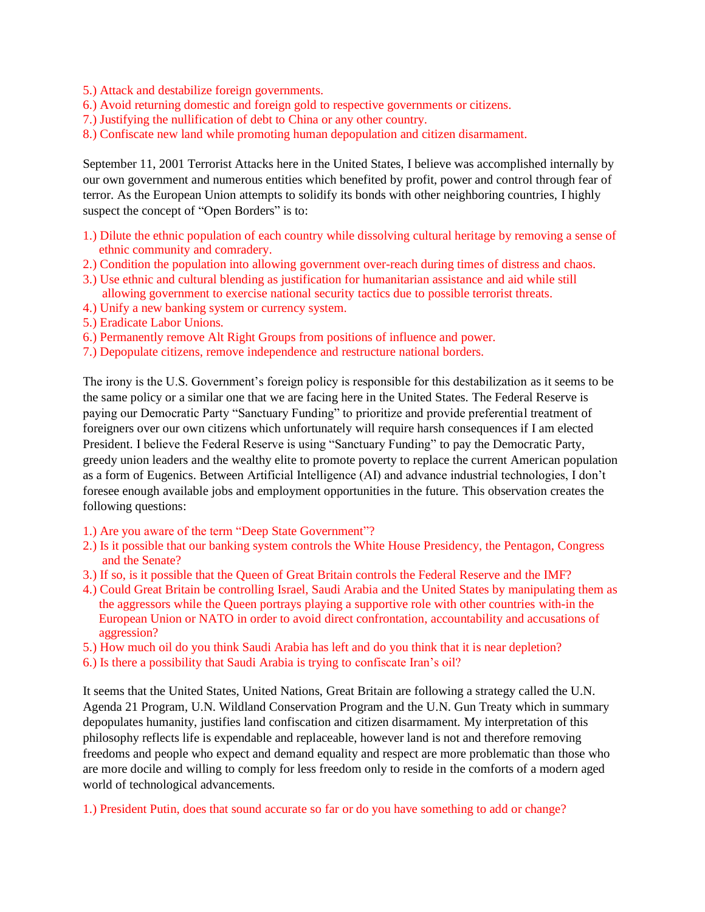- 5.) Attack and destabilize foreign governments.
- 6.) Avoid returning domestic and foreign gold to respective governments or citizens.
- 7.) Justifying the nullification of debt to China or any other country.
- 8.) Confiscate new land while promoting human depopulation and citizen disarmament.

September 11, 2001 Terrorist Attacks here in the United States, I believe was accomplished internally by our own government and numerous entities which benefited by profit, power and control through fear of terror. As the European Union attempts to solidify its bonds with other neighboring countries, I highly suspect the concept of "Open Borders" is to:

- 1.) Dilute the ethnic population of each country while dissolving cultural heritage by removing a sense of ethnic community and comradery.
- 2.) Condition the population into allowing government over-reach during times of distress and chaos.
- 3.) Use ethnic and cultural blending as justification for humanitarian assistance and aid while still allowing government to exercise national security tactics due to possible terrorist threats.
- 4.) Unify a new banking system or currency system.
- 5.) Eradicate Labor Unions.
- 6.) Permanently remove Alt Right Groups from positions of influence and power.
- 7.) Depopulate citizens, remove independence and restructure national borders.

The irony is the U.S. Government's foreign policy is responsible for this destabilization as it seems to be the same policy or a similar one that we are facing here in the United States. The Federal Reserve is paying our Democratic Party "Sanctuary Funding" to prioritize and provide preferential treatment of foreigners over our own citizens which unfortunately will require harsh consequences if I am elected President. I believe the Federal Reserve is using "Sanctuary Funding" to pay the Democratic Party, greedy union leaders and the wealthy elite to promote poverty to replace the current American population as a form of Eugenics. Between Artificial Intelligence (AI) and advance industrial technologies, I don't foresee enough available jobs and employment opportunities in the future. This observation creates the following questions:

- 1.) Are you aware of the term "Deep State Government"?
- 2.) Is it possible that our banking system controls the White House Presidency, the Pentagon, Congress and the Senate?
- 3.) If so, is it possible that the Queen of Great Britain controls the Federal Reserve and the IMF?
- 4.) Could Great Britain be controlling Israel, Saudi Arabia and the United States by manipulating them as the aggressors while the Queen portrays playing a supportive role with other countries with-in the European Union or NATO in order to avoid direct confrontation, accountability and accusations of aggression?
- 5.) How much oil do you think Saudi Arabia has left and do you think that it is near depletion?
- 6.) Is there a possibility that Saudi Arabia is trying to confiscate Iran's oil?

It seems that the United States, United Nations, Great Britain are following a strategy called the U.N. Agenda 21 Program, U.N. Wildland Conservation Program and the U.N. Gun Treaty which in summary depopulates humanity, justifies land confiscation and citizen disarmament. My interpretation of this philosophy reflects life is expendable and replaceable, however land is not and therefore removing freedoms and people who expect and demand equality and respect are more problematic than those who are more docile and willing to comply for less freedom only to reside in the comforts of a modern aged world of technological advancements.

1.) President Putin, does that sound accurate so far or do you have something to add or change?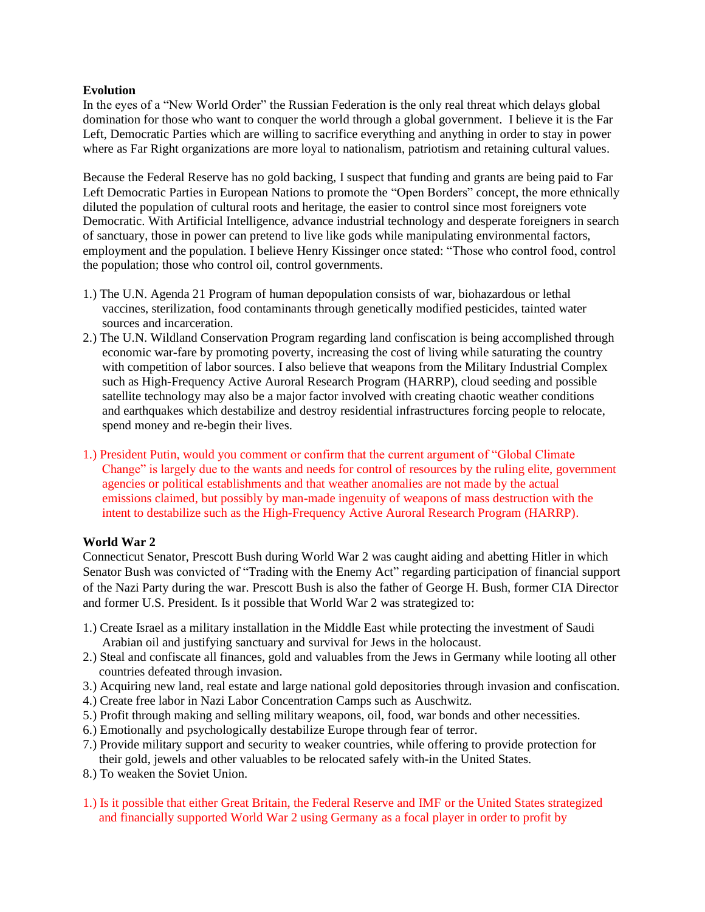### **Evolution**

In the eyes of a "New World Order" the Russian Federation is the only real threat which delays global domination for those who want to conquer the world through a global government. I believe it is the Far Left, Democratic Parties which are willing to sacrifice everything and anything in order to stay in power where as Far Right organizations are more loyal to nationalism, patriotism and retaining cultural values.

Because the Federal Reserve has no gold backing, I suspect that funding and grants are being paid to Far Left Democratic Parties in European Nations to promote the "Open Borders" concept, the more ethnically diluted the population of cultural roots and heritage, the easier to control since most foreigners vote Democratic. With Artificial Intelligence, advance industrial technology and desperate foreigners in search of sanctuary, those in power can pretend to live like gods while manipulating environmental factors, employment and the population. I believe Henry Kissinger once stated: "Those who control food, control the population; those who control oil, control governments.

- 1.) The U.N. Agenda 21 Program of human depopulation consists of war, biohazardous or lethal vaccines, sterilization, food contaminants through genetically modified pesticides, tainted water sources and incarceration.
- 2.) The U.N. Wildland Conservation Program regarding land confiscation is being accomplished through economic war-fare by promoting poverty, increasing the cost of living while saturating the country with competition of labor sources. I also believe that weapons from the Military Industrial Complex such as High-Frequency Active Auroral Research Program (HARRP), cloud seeding and possible satellite technology may also be a major factor involved with creating chaotic weather conditions and earthquakes which destabilize and destroy residential infrastructures forcing people to relocate, spend money and re-begin their lives.
- 1.) President Putin, would you comment or confirm that the current argument of "Global Climate Change" is largely due to the wants and needs for control of resources by the ruling elite, government agencies or political establishments and that weather anomalies are not made by the actual emissions claimed, but possibly by man-made ingenuity of weapons of mass destruction with the intent to destabilize such as the High-Frequency Active Auroral Research Program (HARRP).

# **World War 2**

Connecticut Senator, Prescott Bush during World War 2 was caught aiding and abetting Hitler in which Senator Bush was convicted of "Trading with the Enemy Act" regarding participation of financial support of the Nazi Party during the war. Prescott Bush is also the father of George H. Bush, former CIA Director and former U.S. President. Is it possible that World War 2 was strategized to:

- 1.) Create Israel as a military installation in the Middle East while protecting the investment of Saudi Arabian oil and justifying sanctuary and survival for Jews in the holocaust.
- 2.) Steal and confiscate all finances, gold and valuables from the Jews in Germany while looting all other countries defeated through invasion.
- 3.) Acquiring new land, real estate and large national gold depositories through invasion and confiscation.
- 4.) Create free labor in Nazi Labor Concentration Camps such as Auschwitz.
- 5.) Profit through making and selling military weapons, oil, food, war bonds and other necessities.
- 6.) Emotionally and psychologically destabilize Europe through fear of terror.
- 7.) Provide military support and security to weaker countries, while offering to provide protection for their gold, jewels and other valuables to be relocated safely with-in the United States.
- 8.) To weaken the Soviet Union.
- 1.) Is it possible that either Great Britain, the Federal Reserve and IMF or the United States strategized and financially supported World War 2 using Germany as a focal player in order to profit by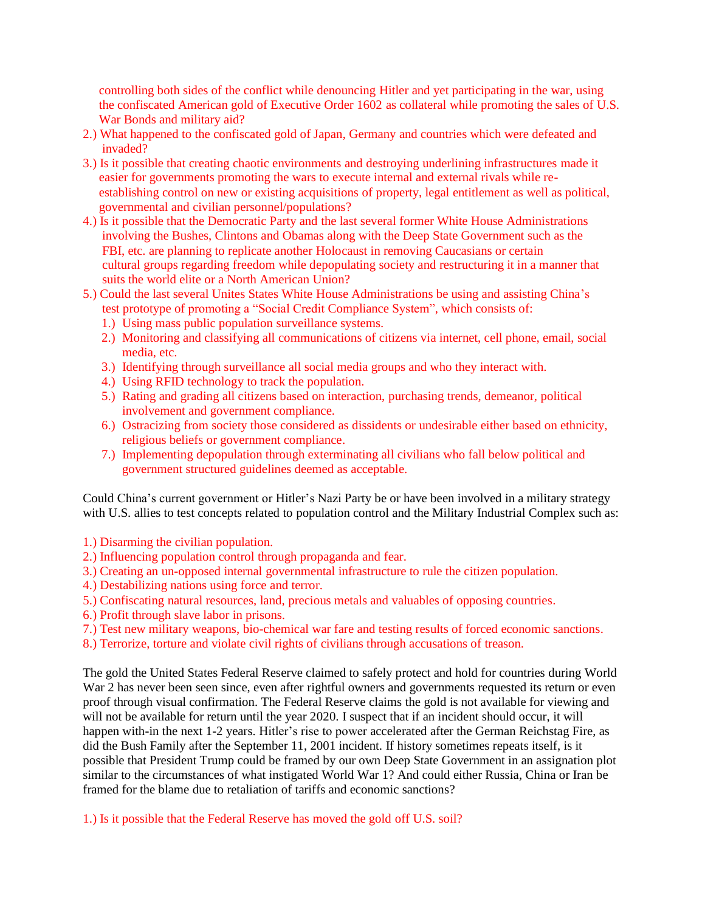controlling both sides of the conflict while denouncing Hitler and yet participating in the war, using the confiscated American gold of Executive Order 1602 as collateral while promoting the sales of U.S. War Bonds and military aid?

- 2.) What happened to the confiscated gold of Japan, Germany and countries which were defeated and invaded?
- 3.) Is it possible that creating chaotic environments and destroying underlining infrastructures made it easier for governments promoting the wars to execute internal and external rivals while re establishing control on new or existing acquisitions of property, legal entitlement as well as political, governmental and civilian personnel/populations?
- 4.) Is it possible that the Democratic Party and the last several former White House Administrations involving the Bushes, Clintons and Obamas along with the Deep State Government such as the FBI, etc. are planning to replicate another Holocaust in removing Caucasians or certain cultural groups regarding freedom while depopulating society and restructuring it in a manner that suits the world elite or a North American Union?
- 5.) Could the last several Unites States White House Administrations be using and assisting China's test prototype of promoting a "Social Credit Compliance System", which consists of:
	- 1.) Using mass public population surveillance systems.
	- 2.) Monitoring and classifying all communications of citizens via internet, cell phone, email, social media, etc.
	- 3.) Identifying through surveillance all social media groups and who they interact with.
	- 4.) Using RFID technology to track the population.
	- 5.) Rating and grading all citizens based on interaction, purchasing trends, demeanor, political involvement and government compliance.
	- 6.) Ostracizing from society those considered as dissidents or undesirable either based on ethnicity, religious beliefs or government compliance.
	- 7.) Implementing depopulation through exterminating all civilians who fall below political and government structured guidelines deemed as acceptable.

Could China's current government or Hitler's Nazi Party be or have been involved in a military strategy with U.S. allies to test concepts related to population control and the Military Industrial Complex such as:

1.) Disarming the civilian population.

- 2.) Influencing population control through propaganda and fear.
- 3.) Creating an un-opposed internal governmental infrastructure to rule the citizen population.
- 4.) Destabilizing nations using force and terror.
- 5.) Confiscating natural resources, land, precious metals and valuables of opposing countries.
- 6.) Profit through slave labor in prisons.
- 7.) Test new military weapons, bio-chemical war fare and testing results of forced economic sanctions.
- 8.) Terrorize, torture and violate civil rights of civilians through accusations of treason.

The gold the United States Federal Reserve claimed to safely protect and hold for countries during World War 2 has never been seen since, even after rightful owners and governments requested its return or even proof through visual confirmation. The Federal Reserve claims the gold is not available for viewing and will not be available for return until the year 2020. I suspect that if an incident should occur, it will happen with-in the next 1-2 years. Hitler's rise to power accelerated after the German Reichstag Fire, as did the Bush Family after the September 11, 2001 incident. If history sometimes repeats itself, is it possible that President Trump could be framed by our own Deep State Government in an assignation plot similar to the circumstances of what instigated World War 1? And could either Russia, China or Iran be framed for the blame due to retaliation of tariffs and economic sanctions?

1.) Is it possible that the Federal Reserve has moved the gold off U.S. soil?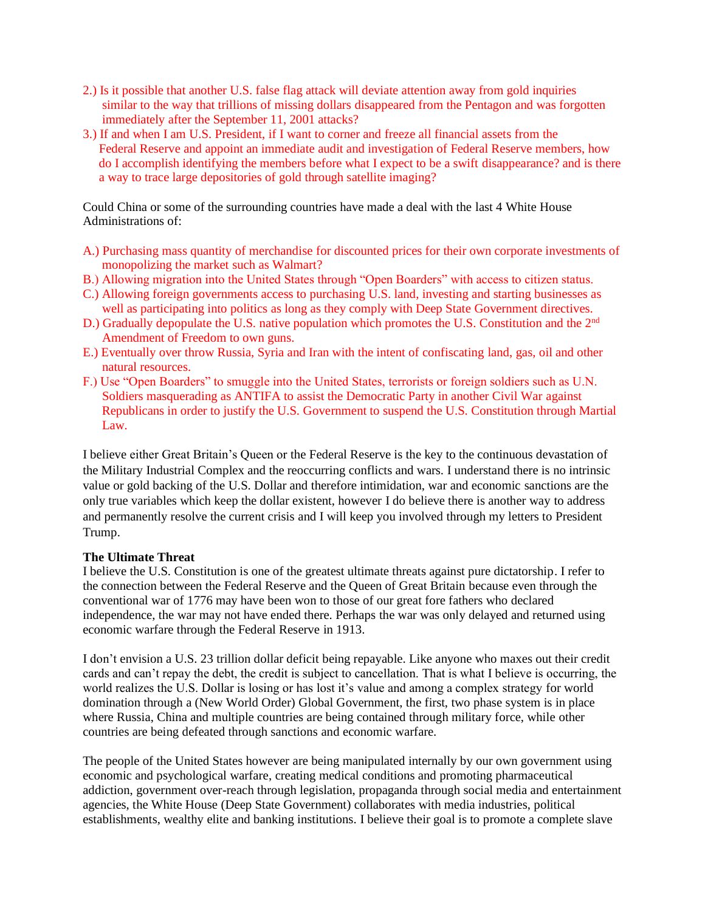- 2.) Is it possible that another U.S. false flag attack will deviate attention away from gold inquiries similar to the way that trillions of missing dollars disappeared from the Pentagon and was forgotten immediately after the September 11, 2001 attacks?
- 3.) If and when I am U.S. President, if I want to corner and freeze all financial assets from the Federal Reserve and appoint an immediate audit and investigation of Federal Reserve members, how do I accomplish identifying the members before what I expect to be a swift disappearance? and is there a way to trace large depositories of gold through satellite imaging?

Could China or some of the surrounding countries have made a deal with the last 4 White House Administrations of:

- A.) Purchasing mass quantity of merchandise for discounted prices for their own corporate investments of monopolizing the market such as Walmart?
- B.) Allowing migration into the United States through "Open Boarders" with access to citizen status.
- C.) Allowing foreign governments access to purchasing U.S. land, investing and starting businesses as well as participating into politics as long as they comply with Deep State Government directives.
- D.) Gradually depopulate the U.S. native population which promotes the U.S. Constitution and the 2<sup>nd</sup> Amendment of Freedom to own guns.
- E.) Eventually over throw Russia, Syria and Iran with the intent of confiscating land, gas, oil and other natural resources.
- F.) Use "Open Boarders" to smuggle into the United States, terrorists or foreign soldiers such as U.N. Soldiers masquerading as ANTIFA to assist the Democratic Party in another Civil War against Republicans in order to justify the U.S. Government to suspend the U.S. Constitution through Martial Law.

I believe either Great Britain's Queen or the Federal Reserve is the key to the continuous devastation of the Military Industrial Complex and the reoccurring conflicts and wars. I understand there is no intrinsic value or gold backing of the U.S. Dollar and therefore intimidation, war and economic sanctions are the only true variables which keep the dollar existent, however I do believe there is another way to address and permanently resolve the current crisis and I will keep you involved through my letters to President Trump.

### **The Ultimate Threat**

I believe the U.S. Constitution is one of the greatest ultimate threats against pure dictatorship. I refer to the connection between the Federal Reserve and the Queen of Great Britain because even through the conventional war of 1776 may have been won to those of our great fore fathers who declared independence, the war may not have ended there. Perhaps the war was only delayed and returned using economic warfare through the Federal Reserve in 1913.

I don't envision a U.S. 23 trillion dollar deficit being repayable. Like anyone who maxes out their credit cards and can't repay the debt, the credit is subject to cancellation. That is what I believe is occurring, the world realizes the U.S. Dollar is losing or has lost it's value and among a complex strategy for world domination through a (New World Order) Global Government, the first, two phase system is in place where Russia, China and multiple countries are being contained through military force, while other countries are being defeated through sanctions and economic warfare.

The people of the United States however are being manipulated internally by our own government using economic and psychological warfare, creating medical conditions and promoting pharmaceutical addiction, government over-reach through legislation, propaganda through social media and entertainment agencies, the White House (Deep State Government) collaborates with media industries, political establishments, wealthy elite and banking institutions. I believe their goal is to promote a complete slave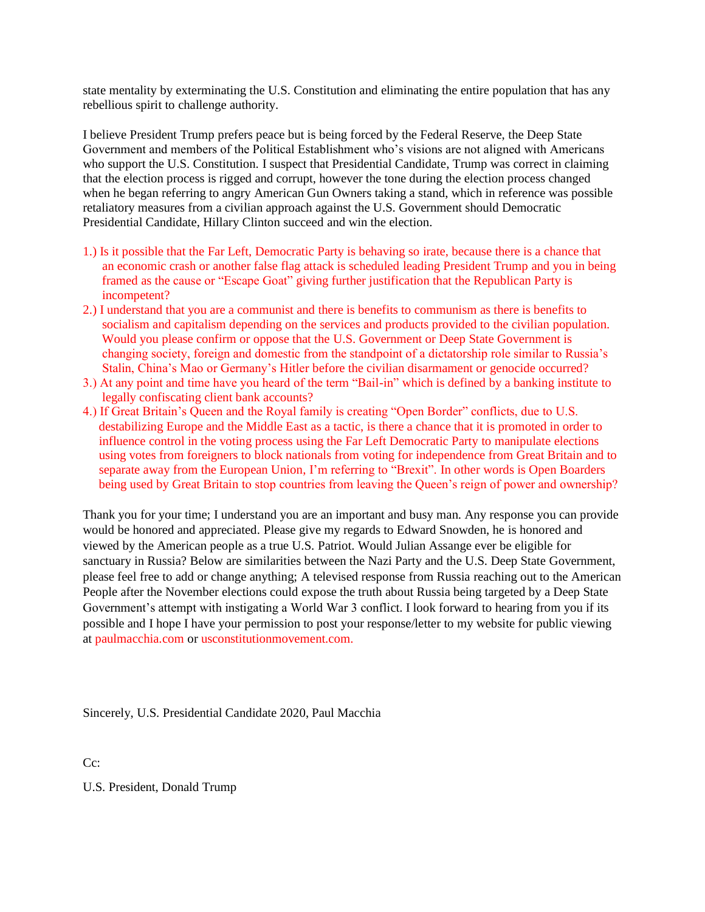state mentality by exterminating the U.S. Constitution and eliminating the entire population that has any rebellious spirit to challenge authority.

I believe President Trump prefers peace but is being forced by the Federal Reserve, the Deep State Government and members of the Political Establishment who's visions are not aligned with Americans who support the U.S. Constitution. I suspect that Presidential Candidate, Trump was correct in claiming that the election process is rigged and corrupt, however the tone during the election process changed when he began referring to angry American Gun Owners taking a stand, which in reference was possible retaliatory measures from a civilian approach against the U.S. Government should Democratic Presidential Candidate, Hillary Clinton succeed and win the election.

- 1.) Is it possible that the Far Left, Democratic Party is behaving so irate, because there is a chance that an economic crash or another false flag attack is scheduled leading President Trump and you in being framed as the cause or "Escape Goat" giving further justification that the Republican Party is incompetent?
- 2.) I understand that you are a communist and there is benefits to communism as there is benefits to socialism and capitalism depending on the services and products provided to the civilian population. Would you please confirm or oppose that the U.S. Government or Deep State Government is changing society, foreign and domestic from the standpoint of a dictatorship role similar to Russia's Stalin, China's Mao or Germany's Hitler before the civilian disarmament or genocide occurred?
- 3.) At any point and time have you heard of the term "Bail-in" which is defined by a banking institute to legally confiscating client bank accounts?
- 4.) If Great Britain's Queen and the Royal family is creating "Open Border" conflicts, due to U.S. destabilizing Europe and the Middle East as a tactic, is there a chance that it is promoted in order to influence control in the voting process using the Far Left Democratic Party to manipulate elections using votes from foreigners to block nationals from voting for independence from Great Britain and to separate away from the European Union, I'm referring to "Brexit". In other words is Open Boarders being used by Great Britain to stop countries from leaving the Queen's reign of power and ownership?

Thank you for your time; I understand you are an important and busy man. Any response you can provide would be honored and appreciated. Please give my regards to Edward Snowden, he is honored and viewed by the American people as a true U.S. Patriot. Would Julian Assange ever be eligible for sanctuary in Russia? Below are similarities between the Nazi Party and the U.S. Deep State Government, please feel free to add or change anything; A televised response from Russia reaching out to the American People after the November elections could expose the truth about Russia being targeted by a Deep State Government's attempt with instigating a World War 3 conflict. I look forward to hearing from you if its possible and I hope I have your permission to post your response/letter to my website for public viewing at paulmacchia.com or usconstitutionmovement.com.

Sincerely, U.S. Presidential Candidate 2020, Paul Macchia

C<sub>c</sub>:

U.S. President, Donald Trump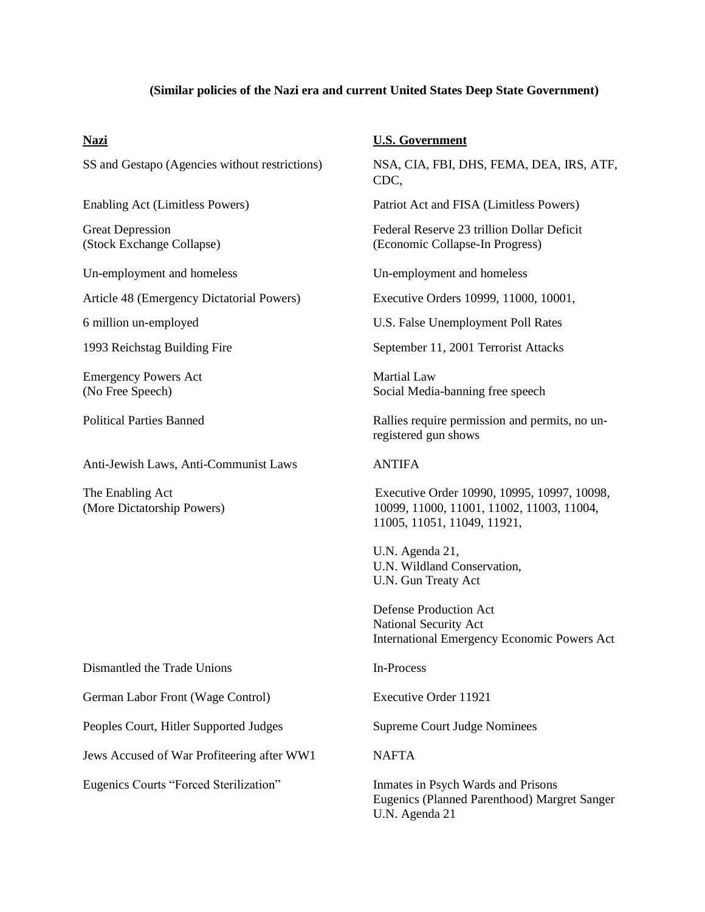#### **(Similar policies of the Nazi era and current United States Deep State Government)**

Article 48 (Emergency Dictatorial Powers) Executive Orders 10999, 11000, 10001,

Emergency Powers Act Martial Law

Anti-Jewish Laws, Anti-Communist Laws ANTIFA

## **Nazi U.S. Government**

SS and Gestapo (Agencies without restrictions) NSA, CIA, FBI, DHS, FEMA, DEA, IRS, ATF, CDC,

Enabling Act (Limitless Powers) Patriot Act and FISA (Limitless Powers)

Great Depression Federal Reserve 23 trillion Dollar Deficit (Stock Exchange Collapse) (Economic Collapse-In Progress)

Un-employment and homeless Un-employment and homeless

6 million un-employed U.S. False Unemployment Poll Rates

1993 Reichstag Building Fire September 11, 2001 Terrorist Attacks

(No Free Speech) Social Media-banning free speech

Political Parties Banned Rallies require permission and permits, no unregistered gun shows

The Enabling Act Executive Order 10990, 10995, 10997, 10098, (More Dictatorship Powers) 10099, 11000, 11001, 11002, 11003, 11004, 11005, 11051, 11049, 11921,

> U.N. Agenda 21, U.N. Wildland Conservation, U.N. Gun Treaty Act

Defense Production Act National Security Act International Emergency Economic Powers Act

Eugenics (Planned Parenthood) Margret Sanger U.N. Agenda 21

Dismantled the Trade Unions In-Process

German Labor Front (Wage Control) Executive Order 11921

Peoples Court, Hitler Supported Judges Supreme Court Judge Nominees

Jews Accused of War Profiteering after WW1 NAFTA

Eugenics Courts "Forced Sterilization" Inmates in Psych Wards and Prisons